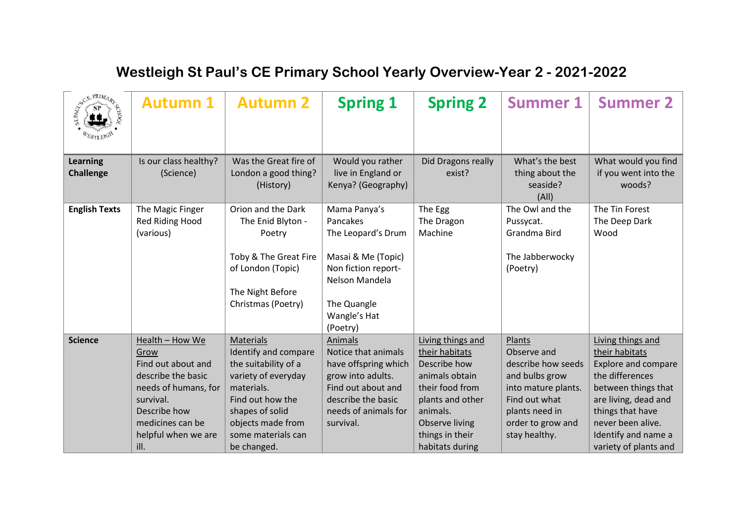| <b>SCEPRIMARY</b><br>WESTLEIGH      | <b>Autumn 1</b>                                                                                                                                                             | <b>Autumn 2</b>                                                                                                                                                                                 | <b>Spring 1</b>                                                                                                                                              | <b>Spring 2</b>                                                                                                                                                                         | <b>Summer 1</b>                                                                                                                                               | <b>Summer 2</b>                                                                                                                                                                                                              |
|-------------------------------------|-----------------------------------------------------------------------------------------------------------------------------------------------------------------------------|-------------------------------------------------------------------------------------------------------------------------------------------------------------------------------------------------|--------------------------------------------------------------------------------------------------------------------------------------------------------------|-----------------------------------------------------------------------------------------------------------------------------------------------------------------------------------------|---------------------------------------------------------------------------------------------------------------------------------------------------------------|------------------------------------------------------------------------------------------------------------------------------------------------------------------------------------------------------------------------------|
| <b>Learning</b><br><b>Challenge</b> | Is our class healthy?<br>(Science)                                                                                                                                          | Was the Great fire of<br>London a good thing?<br>(History)                                                                                                                                      | Would you rather<br>live in England or<br>Kenya? (Geography)                                                                                                 | Did Dragons really<br>exist?                                                                                                                                                            | What's the best<br>thing about the<br>seaside?<br>(A  )                                                                                                       | What would you find<br>if you went into the<br>woods?                                                                                                                                                                        |
| <b>English Texts</b>                | The Magic Finger<br>Red Riding Hood<br>(various)                                                                                                                            | Orion and the Dark<br>The Enid Blyton -<br>Poetry<br>Toby & The Great Fire<br>of London (Topic)<br>The Night Before<br>Christmas (Poetry)                                                       | Mama Panya's<br>Pancakes<br>The Leopard's Drum<br>Masai & Me (Topic)<br>Non fiction report-<br>Nelson Mandela<br>The Quangle<br>Wangle's Hat<br>(Poetry)     | The Egg<br>The Dragon<br>Machine                                                                                                                                                        | The Owl and the<br>Pussycat.<br>Grandma Bird<br>The Jabberwocky<br>(Poetry)                                                                                   | The Tin Forest<br>The Deep Dark<br>Wood                                                                                                                                                                                      |
| <b>Science</b>                      | Health - How We<br>Grow<br>Find out about and<br>describe the basic<br>needs of humans, for<br>survival.<br>Describe how<br>medicines can be<br>helpful when we are<br>ill. | Materials<br>Identify and compare<br>the suitability of a<br>variety of everyday<br>materials.<br>Find out how the<br>shapes of solid<br>objects made from<br>some materials can<br>be changed. | Animals<br>Notice that animals<br>have offspring which<br>grow into adults.<br>Find out about and<br>describe the basic<br>needs of animals for<br>survival. | Living things and<br>their habitats<br>Describe how<br>animals obtain<br>their food from<br>plants and other<br>animals.<br><b>Observe living</b><br>things in their<br>habitats during | Plants<br>Observe and<br>describe how seeds<br>and bulbs grow<br>into mature plants.<br>Find out what<br>plants need in<br>order to grow and<br>stay healthy. | Living things and<br>their habitats<br><b>Explore and compare</b><br>the differences<br>between things that<br>are living, dead and<br>things that have<br>never been alive.<br>Identify and name a<br>variety of plants and |

## **Westleigh St Paul's CE Primary School Yearly Overview-Year 2 - 2021-2022**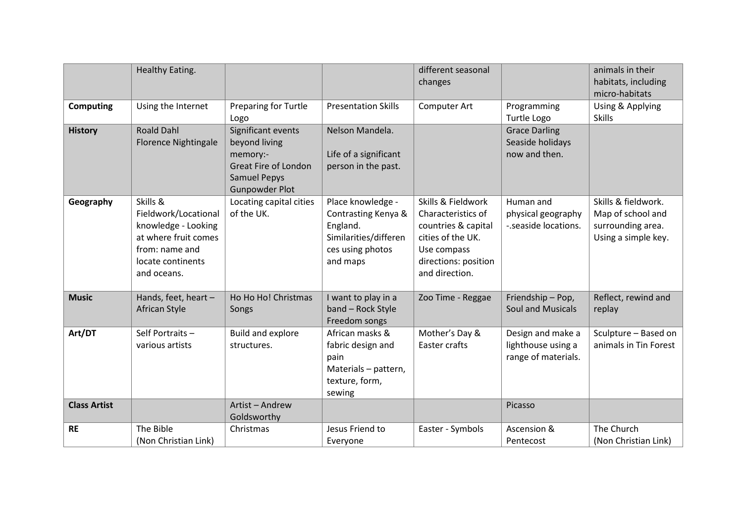|                     | Healthy Eating.                                                                                                                       |                                                                                                                                |                                                                                                               | different seasonal<br>changes                                                                                                                 |                                                                | animals in their<br>habitats, including<br>micro-habitats                            |
|---------------------|---------------------------------------------------------------------------------------------------------------------------------------|--------------------------------------------------------------------------------------------------------------------------------|---------------------------------------------------------------------------------------------------------------|-----------------------------------------------------------------------------------------------------------------------------------------------|----------------------------------------------------------------|--------------------------------------------------------------------------------------|
| <b>Computing</b>    | Using the Internet                                                                                                                    | <b>Preparing for Turtle</b><br>Logo                                                                                            | <b>Presentation Skills</b>                                                                                    | Computer Art                                                                                                                                  | Programming<br>Turtle Logo                                     | Using & Applying<br><b>Skills</b>                                                    |
| <b>History</b>      | <b>Roald Dahl</b><br><b>Florence Nightingale</b>                                                                                      | Significant events<br>beyond living<br>memory:-<br><b>Great Fire of London</b><br><b>Samuel Pepys</b><br><b>Gunpowder Plot</b> | Nelson Mandela.<br>Life of a significant<br>person in the past.                                               |                                                                                                                                               | <b>Grace Darling</b><br>Seaside holidays<br>now and then.      |                                                                                      |
| Geography           | Skills &<br>Fieldwork/Locational<br>knowledge - Looking<br>at where fruit comes<br>from: name and<br>locate continents<br>and oceans. | Locating capital cities<br>of the UK.                                                                                          | Place knowledge -<br>Contrasting Kenya &<br>England.<br>Similarities/differen<br>ces using photos<br>and maps | Skills & Fieldwork<br>Characteristics of<br>countries & capital<br>cities of the UK.<br>Use compass<br>directions: position<br>and direction. | Human and<br>physical geography<br>-.seaside locations.        | Skills & fieldwork.<br>Map of school and<br>surrounding area.<br>Using a simple key. |
| <b>Music</b>        | Hands, feet, heart -<br>African Style                                                                                                 | Ho Ho Ho! Christmas<br>Songs                                                                                                   | I want to play in a<br>band - Rock Style<br>Freedom songs                                                     | Zoo Time - Reggae                                                                                                                             | Friendship - Pop,<br><b>Soul and Musicals</b>                  | Reflect, rewind and<br>replay                                                        |
| Art/DT              | Self Portraits -<br>various artists                                                                                                   | Build and explore<br>structures.                                                                                               | African masks &<br>fabric design and<br>pain<br>Materials - pattern,<br>texture, form,<br>sewing              | Mother's Day &<br>Easter crafts                                                                                                               | Design and make a<br>lighthouse using a<br>range of materials. | Sculpture - Based on<br>animals in Tin Forest                                        |
| <b>Class Artist</b> |                                                                                                                                       | Artist - Andrew<br>Goldsworthy                                                                                                 |                                                                                                               |                                                                                                                                               | Picasso                                                        |                                                                                      |
| <b>RE</b>           | The Bible<br>(Non Christian Link)                                                                                                     | Christmas                                                                                                                      | Jesus Friend to<br>Everyone                                                                                   | Easter - Symbols                                                                                                                              | Ascension &<br>Pentecost                                       | The Church<br>(Non Christian Link)                                                   |